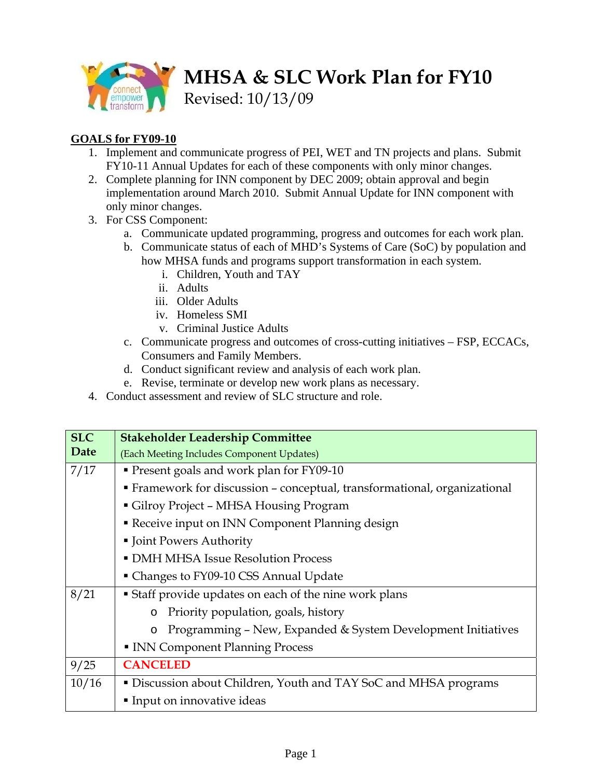

**MHSA & SLC Work Plan for FY10** 

Revised: 10/13/09

## **GOALS for FY09-10**

- 1. Implement and communicate progress of PEI, WET and TN projects and plans. Submit FY10-11 Annual Updates for each of these components with only minor changes.
- 2. Complete planning for INN component by DEC 2009; obtain approval and begin implementation around March 2010. Submit Annual Update for INN component with only minor changes.
- 3. For CSS Component:
	- a. Communicate updated programming, progress and outcomes for each work plan.
	- b. Communicate status of each of MHD's Systems of Care (SoC) by population and how MHSA funds and programs support transformation in each system.
		- i. Children, Youth and TAY
		- ii. Adults
		- iii. Older Adults
		- iv. Homeless SMI
		- v. Criminal Justice Adults
	- c. Communicate progress and outcomes of cross-cutting initiatives FSP, ECCACs, Consumers and Family Members.
	- d. Conduct significant review and analysis of each work plan.
	- e. Revise, terminate or develop new work plans as necessary.
- 4. Conduct assessment and review of SLC structure and role.

| <b>SLC</b> | <b>Stakeholder Leadership Committee</b>                                   |
|------------|---------------------------------------------------------------------------|
| Date       | (Each Meeting Includes Component Updates)                                 |
| 7/17       | Present goals and work plan for FY09-10                                   |
|            | • Framework for discussion - conceptual, transformational, organizational |
|            | Gilroy Project - MHSA Housing Program                                     |
|            | Receive input on INN Component Planning design                            |
|            | • Joint Powers Authority                                                  |
|            | • DMH MHSA Issue Resolution Process                                       |
|            | • Changes to FY09-10 CSS Annual Update                                    |
| 8/21       | <b>Staff provide updates on each of the nine work plans</b>               |
|            | Priority population, goals, history<br>$\circ$                            |
|            | Programming - New, Expanded & System Development Initiatives<br>$\circ$   |
|            | INN Component Planning Process                                            |
| 9/25       | <b>CANCELED</b>                                                           |
| 10/16      | • Discussion about Children, Youth and TAY SoC and MHSA programs          |
|            | Input on innovative ideas                                                 |